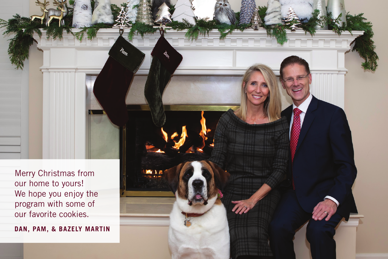Merry Christmas from our home to yours! We hope you enjoy the program with some of our favorite cookies.

**DAN, PAM, & BAZELY MARTIN**